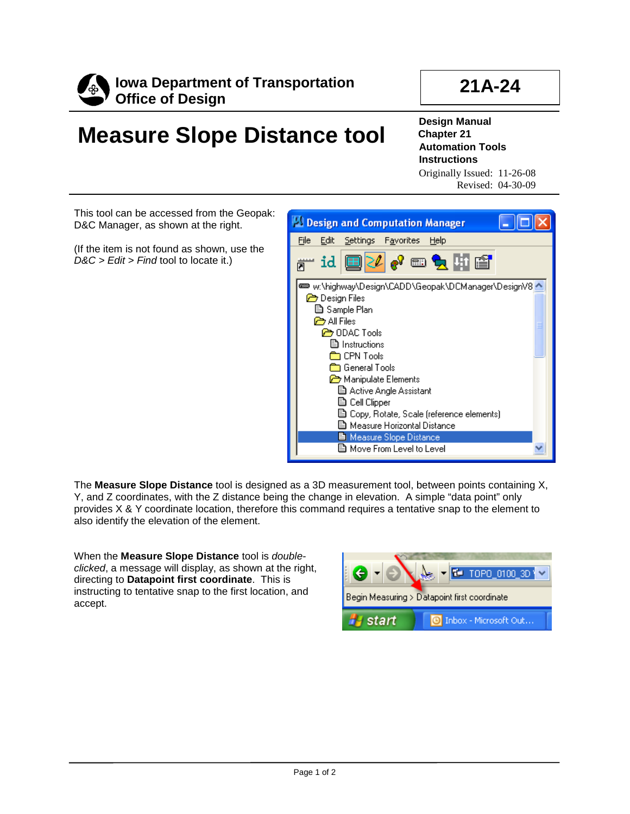

## **21A-24**

## **Measure Slope Distance tool**

**Design Manual Chapter 21 Automation Tools Instructions**

Originally Issued: 11-26-08 Revised: 04-30-09

This tool can be accessed from the Geopak: D&C Manager, as shown at the right.

(If the item is not found as shown, use the *D&C > Edit > Find* tool to locate it.)



The **Measure Slope Distance** tool is designed as a 3D measurement tool, between points containing X, Y, and Z coordinates, with the Z distance being the change in elevation. A simple "data point" only provides X & Y coordinate location, therefore this command requires a tentative snap to the element to also identify the elevation of the element.

When the **Measure Slope Distance** tool is *doubleclicked*, a message will display, as shown at the right, directing to **Datapoint first coordinate**. This is instructing to tentative snap to the first location, and accept.